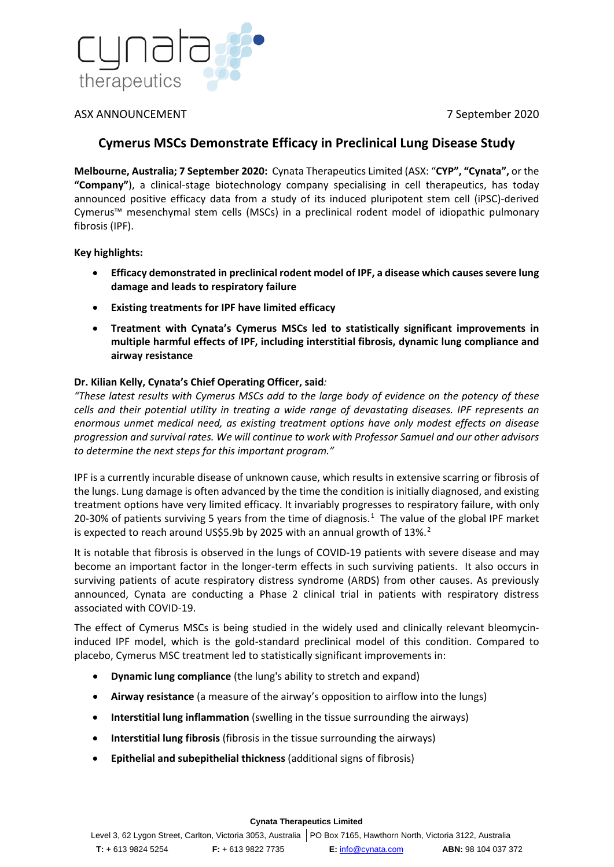

## ASX ANNOUNCEMENT 7 September 2020

# **Cymerus MSCs Demonstrate Efficacy in Preclinical Lung Disease Study**

**Melbourne, Australia; 7 September 2020:** Cynata Therapeutics Limited (ASX: "**CYP", "Cynata",** or the **"Company"**), a clinical-stage biotechnology company specialising in cell therapeutics, has today announced positive efficacy data from a study of its induced pluripotent stem cell (iPSC)-derived Cymerus™ mesenchymal stem cells (MSCs) in a preclinical rodent model of idiopathic pulmonary fibrosis (IPF).

**Key highlights:**

- **Efficacy demonstrated in preclinical rodent model of IPF, a disease which causes severe lung damage and leads to respiratory failure**
- **Existing treatments for IPF have limited efficacy**
- **Treatment with Cynata's Cymerus MSCs led to statistically significant improvements in multiple harmful effects of IPF, including interstitial fibrosis, dynamic lung compliance and airway resistance**

### **Dr. Kilian Kelly, Cynata's Chief Operating Officer, said***:*

*"These latest results with Cymerus MSCs add to the large body of evidence on the potency of these cells and their potential utility in treating a wide range of devastating diseases. IPF represents an enormous unmet medical need, as existing treatment options have only modest effects on disease progression and survival rates. We will continue to work with Professor Samuel and our other advisors to determine the next steps for this important program."*

IPF is a currently incurable disease of unknown cause, which results in extensive scarring or fibrosis of the lungs. Lung damage is often advanced by the time the condition is initially diagnosed, and existing treatment options have very limited efficacy. It invariably progresses to respiratory failure, with only 20-30% of patients surviving 5 years from the time of diagnosis.<sup>[1](#page-1-0)</sup> The value of the global IPF market is expected to reach around US\$5.9b by [2](#page-1-1)025 with an annual growth of 13%.<sup>2</sup>

It is notable that fibrosis is observed in the lungs of COVID-19 patients with severe disease and may become an important factor in the longer-term effects in such surviving patients. It also occurs in surviving patients of acute respiratory distress syndrome (ARDS) from other causes. As previously announced, Cynata are conducting a Phase 2 clinical trial in patients with respiratory distress associated with COVID-19.

The effect of Cymerus MSCs is being studied in the widely used and clinically relevant bleomycininduced IPF model, which is the gold-standard preclinical model of this condition. Compared to placebo, Cymerus MSC treatment led to statistically significant improvements in:

- **Dynamic lung compliance** (the lung's ability to stretch and expand)
- **Airway resistance** (a measure of the airway's opposition to airflow into the lungs)
- **Interstitial lung inflammation** (swelling in the tissue surrounding the airways)
- **Interstitial lung fibrosis** (fibrosis in the tissue surrounding the airways)
- **Epithelial and subepithelial thickness** (additional signs of fibrosis)